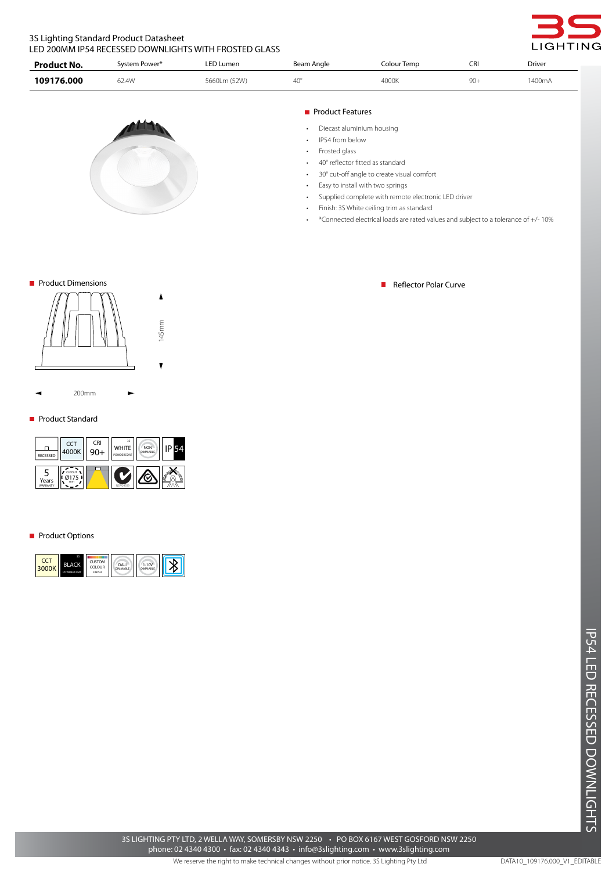# 3S Lighting Standard Product Datasheet LED 200MM IP54 RECESSED DOWNLIGHTS WITH FROSTED GLASS

| Product No. | System Power* | <b>LED Lumen</b> | Beam Angle   | Colour Temp | CRI | Driver |
|-------------|---------------|------------------|--------------|-------------|-----|--------|
| 109176.000  | 52.4W         | 5660Lm (52W)     | $40^{\circ}$ | 4000K       | 90  | 1400mA |



• Frosted glass

• 40° reflector fitted as standard

• 30° cut-off angle to create visual comfort

• Easy to install with two springs

• Supplied complete with remote electronic LED driver

• Finish: 3S White ceiling trim as standard

• \*Connected electrical loads are rated values and subject to a tolerance of +/- 10%



200mm

## **Product Standard**

| RECESSED          | CCT  <br>4000K | <b>CRI</b> | 3S<br>WHITE | <b>NON</b><br><b>DIMMABLE</b> |      |
|-------------------|----------------|------------|-------------|-------------------------------|------|
| Years<br>WARRANTY | CUTOUT         |            | NSW24559    |                               | ષ્ટુ |

 $\blacksquare$ 

## **Product Options**



■ Product Dimensions Reflector Polar Curve Reflector Polar Curve Reflector Polar Curve

GHTING

IP54 LED RECESSED DOWNLIGHTS LED RECESSED DOWNLIGHTS

We reserve the right to make technical changes without prior notice. 3S Lighting Pty Ltd 3S LIGHTING PTY LTD, 2 WELLA WAY, SOMERSBY NSW 2250 • PO BOX 6167 WEST GOSFORD NSW 2250 phone: 02 4340 4300 • fax: 02 4340 4343 • info@3slighting.com • www.3slighting.com